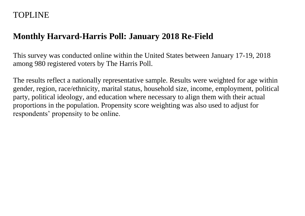# TOPLINE

# **Monthly Harvard-Harris Poll: January 2018 Re-Field**

This survey was conducted online within the United States between January 17-19, 2018 among 980 registered voters by The Harris Poll.

The results reflect a nationally representative sample. Results were weighted for age within gender, region, race/ethnicity, marital status, household size, income, employment, political party, political ideology, and education where necessary to align them with their actual proportions in the population. Propensity score weighting was also used to adjust for respondents' propensity to be online.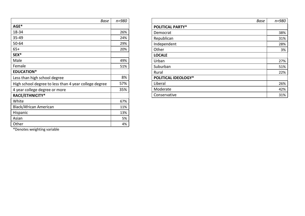| <b>Base</b>                                           | $n = 980$ |
|-------------------------------------------------------|-----------|
| AGE*                                                  |           |
| 18-34                                                 | 26%       |
| 35-49                                                 | 24%       |
| $50 - 64$                                             | 29%       |
| $65+$                                                 | 20%       |
| SEX*                                                  |           |
| Male                                                  | 49%       |
| Female                                                | 51%       |
| <b>EDUCATION*</b>                                     |           |
| Less than high school degree                          | 8%        |
| High school degree to less than 4 year college degree | 57%       |
| 4 year college degree or more                         | 35%       |
| RACE/ETHNICITY*                                       |           |
| White                                                 | 67%       |
| Black/African American                                | 11%       |
| Hispanic                                              | 13%       |
| Asian                                                 | 5%        |
| Other                                                 | 4%        |

| <b>Base</b>                | $n = 980$ |
|----------------------------|-----------|
| <b>POLITICAL PARTY*</b>    |           |
| Democrat                   | 38%       |
| Republican                 | 31%       |
| Independent                | 28%       |
| Other                      | 3%        |
| <b>LOCALE</b>              |           |
| Urban                      | 27%       |
| Suburban                   | 51%       |
| Rural                      | 22%       |
| <b>POLITICAL IDEOLOGY*</b> |           |
| Liberal                    | 26%       |
| Moderate                   | 42%       |
| Conservative               | 31%       |

\*Denotes weighting variable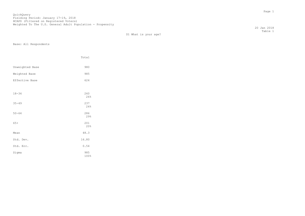D1 What is your age?

Base: All Respondents

|                 | Total       |
|-----------------|-------------|
| Unweighted Base | 980         |
| Weighted Base   | 985         |
| Effective Base  | 624         |
|                 |             |
| $18 - 34$       | 260<br>26%  |
| $35 - 49$       | 237<br>24%  |
| $50 - 64$       | 286<br>29%  |
| $65+$           | 201<br>20%  |
| Mean            | 48.3        |
| Std. Dev.       | 16.80       |
| Std. Err.       | 0.54        |
| Sigma           | 985<br>100% |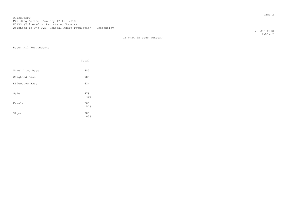20 Jan 2018 Table 2

D2 What is your gender?

|                 | Total       |  |
|-----------------|-------------|--|
| Unweighted Base | 980         |  |
| Weighted Base   | 985         |  |
| Effective Base  | 624         |  |
| Male            | 478<br>49%  |  |
| Female          | 507<br>51%  |  |
| Sigma           | 985<br>100% |  |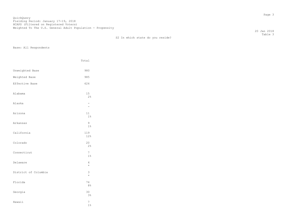S2 In which state do you reside?

Base: All Respondents

|                      | Total                         |
|----------------------|-------------------------------|
| Unweighted Base      | 980                           |
| Weighted Base        | 985                           |
| Effective Base       | 624                           |
| Alabama              | 15<br>2%                      |
| Alaska               | -<br>$\overline{\phantom{0}}$ |
| Arizona              | 11<br>1%                      |
| Arkansas             | 9<br>$1\%$                    |
| California           | 119<br>12%                    |
| Colorado             | 20<br>2%                      |
| Connecticut          | 7<br>1%                       |
| Delaware             | 4<br>$\star$                  |
| District of Columbia | 3<br>$\star$                  |
| Florida              | 74<br>8%                      |
| Georgia              | 30<br>3%                      |
| Hawaii               | 7<br>1%                       |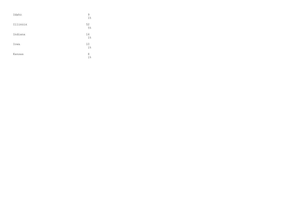| Idaho    | 9<br>$1\%$  |
|----------|-------------|
| Illinois | 52<br>5%    |
| Indiana  | 14<br>$1\%$ |
| Iowa     | 10<br>$1\%$ |
| Kansas   | 8<br>$1\%$  |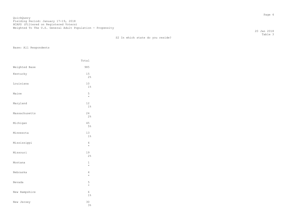S2 In which state do you reside?

Base: All Respondents

|               | Total            |
|---------------|------------------|
| Weighted Base | 985              |
| Kentucky      | 15<br>2%         |
| Louisiana     | $10$<br>1%       |
| Maine         | 5<br>$\star$     |
| Maryland      | 12<br>1%         |
| Massachusetts | 24<br>2%         |
| Michigan      | 45<br>5%         |
| Minnesota     | 13<br>$1\%$      |
| Mississippi   | 4<br>$\star$     |
| Missouri      | 19<br>2%         |
| Montana       | $1\,$<br>$\star$ |
| Nebraska      | 4<br>$\star$     |
| Nevada        | 5<br>$\star$     |
| New Hampshire | 6<br>1%          |
| New Jersey    | 30<br>3%         |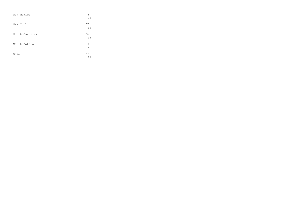| New Mexico     | 6<br>1 <sup>°</sup>  |
|----------------|----------------------|
| New York       | 77<br>8%             |
| North Carolina | 34<br>3 <sup>°</sup> |
| North Dakota   | 1<br>$\star$         |
| Ohio           | 19<br>2%             |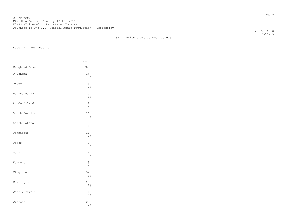en de la provincia de la provincia de la provincia de la provincia de la provincia de la provincia de la provi<br>Page 5 QuickQuery Fielding Period: January 17-19, 2018 HCAPS (Filtered on Registered Voters) Weighted To The U.S. General Adult Population - Propensity

S2 In which state do you reside?

Base: All Respondents

|                | Total                     |
|----------------|---------------------------|
| Weighted Base  | 985                       |
| Oklahoma       | 14<br>1%                  |
| Oregon         | 9<br>1%                   |
| Pennsylvania   | 30<br>3%                  |
| Rhode Island   | $\mathbf{1}$<br>$\star$   |
| South Carolina | 16<br>2%                  |
| South Dakota   | $\overline{c}$<br>$\star$ |
| Tennessee      | 16<br>2%                  |
| Texas          | 79<br>8%                  |
| Utah           | 11<br>1%                  |
| Vermont        | 3<br>$\star$              |
| Virginia       | 32<br>3%                  |
| Washington     | 20<br>2%                  |
| West Virginia  | 6<br>$1\%$                |
| Wisconsin      | 23<br>2%                  |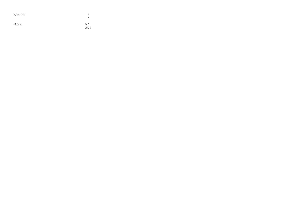| Wyoming | $\star$     |
|---------|-------------|
| Sigma   | 985<br>100% |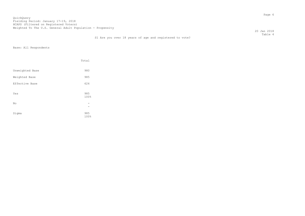20 Jan 2018 Table 4

|  |  |  |  |  | S1 Are you over 18 years of age and registered to vote? |  |  |
|--|--|--|--|--|---------------------------------------------------------|--|--|
|  |  |  |  |  |                                                         |  |  |

|                 | Total       |  |
|-----------------|-------------|--|
| Unweighted Base | 980         |  |
| Weighted Base   | 985         |  |
| Effective Base  | 624         |  |
| Yes             | 985<br>100% |  |
| No              |             |  |
| Sigma           | 985<br>100% |  |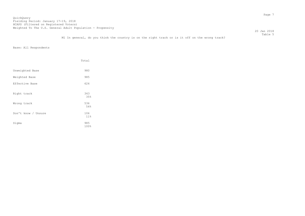20 Jan 2018

 Table 5 M1 In general, do you think the country is on the right track or is it off on the wrong track?

|                     | Total                  |
|---------------------|------------------------|
| Unweighted Base     | 980                    |
| Weighted Base       | 985                    |
| Effective Base      | 624                    |
| Right track         | 343<br>35%             |
| Wrong track         | 536<br>54%             |
| Don't know / Unsure | 106<br>11 <sup>°</sup> |
| Sigma               | 985<br>100%            |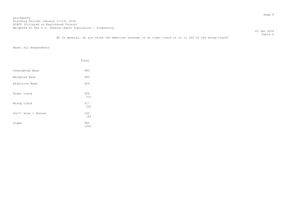20 Jan 2018 Table 6

M2 In general, do you think the American economy is on right track or is it off on the wrong track?

|                     | Total       |
|---------------------|-------------|
| Unweighted Base     | 980         |
| Weighted Base       | 985         |
| Effective Base      | 624         |
| Right track         | 506<br>51%  |
| Wrong track         | 317<br>32%  |
| Don't know / Unsure | 162<br>16%  |
| Sigma               | 985<br>100% |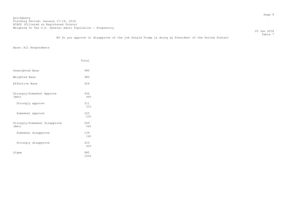20 Jan 2018  $\footnotesize\substack{\text{Table 7}}$ 

M3 Do you approve or disapprove of the job Donald Trump is doing as President of the United States?

|                                       | Total       |
|---------------------------------------|-------------|
| Unweighted Base                       | 980         |
| Weighted Base                         | 985         |
| Effective Base                        | 624         |
| Strongly/Somewhat Approve<br>(Net)    | 436<br>44%  |
| Strongly approve                      | 211<br>21%  |
| Somewhat approve                      | 225<br>23%  |
| Strongly/Somewhat Disapprove<br>(Net) | 549<br>56%  |
| Somewhat disapprove                   | 139<br>14%  |
| Strongly disapprove                   | 410<br>42%  |
| Sigma                                 | 985<br>100% |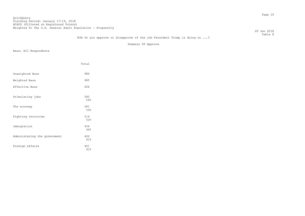20 Jan 2018 Table 8

# M3A Do you approve or disapprove of the job President Trump is doing on ...?

Summary Of Approve

|                              | Total      |
|------------------------------|------------|
| Unweighted Base              | 980        |
| Weighted Base                | 985        |
| Effective Base               | 624        |
| Stimulating jobs             | 582<br>59% |
| The economy                  | 581<br>59% |
| Fighting terrorism           | 514<br>52% |
| Immigration                  | 434<br>44% |
| Administering the government | 402<br>41% |
| Foreign affairs              | 401<br>41% |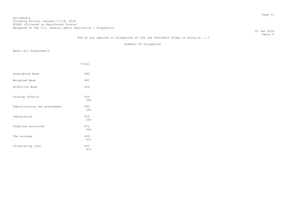20 Jan 2018 Table 9

# M3A Do you approve or disapprove of the job President Trump is doing on ...?

Summary Of Disapprove

|                              | Total      |
|------------------------------|------------|
| Unweighted Base              | 980        |
| Weighted Base                | 985        |
| Effective Base               | 624        |
| Foreign affairs              | 584<br>59% |
| Administering the government | 583<br>59% |
| Immigration                  | 552<br>56% |
| Fighting terrorism           | 471<br>48% |
| The economy                  | 405<br>41% |
| Stimulating jobs             | 403<br>41% |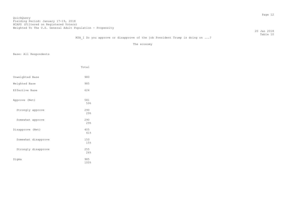20 Jan 2018 Table 10

# M3A 1 Do you approve or disapprove of the job President Trump is doing on ...?

The economy

|                     | Total       |
|---------------------|-------------|
| Unweighted Base     | 980         |
| Weighted Base       | 985         |
| Effective Base      | 624         |
| Approve (Net)       | 581<br>59%  |
| Strongly approve    | 290<br>29%  |
| Somewhat approve    | 290<br>29%  |
| Disapprove (Net)    | 405<br>41%  |
| Somewhat disapprove | 150<br>15%  |
| Strongly disapprove | 255<br>26%  |
| Sigma               | 985<br>100% |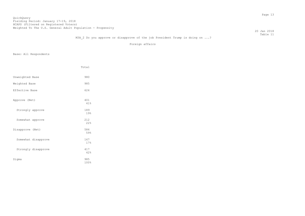20 Jan 2018 Table 11

# M3A 2 Do you approve or disapprove of the job President Trump is doing on ...?

Foreign affairs

|                     | Total       |
|---------------------|-------------|
| Unweighted Base     | 980         |
| Weighted Base       | 985         |
| Effective Base      | 624         |
| Approve (Net)       | 401<br>41%  |
| Strongly approve    | 189<br>19%  |
| Somewhat approve    | 212<br>22%  |
| Disapprove (Net)    | 584<br>59%  |
| Somewhat disapprove | 167<br>17%  |
| Strongly disapprove | 417<br>42%  |
| Sigma               | 985<br>100% |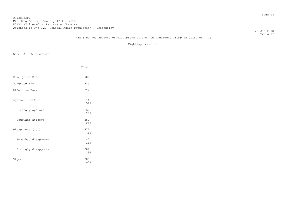20 Jan 2018 Table 12

# M3A 3 Do you approve or disapprove of the job President Trump is doing on ...?

Fighting terrorism

|                     | Total       |
|---------------------|-------------|
| Unweighted Base     | 980         |
| Weighted Base       | 985         |
| Effective Base      | 624         |
| Approve (Net)       | 514<br>52%  |
| Strongly approve    | 262<br>27%  |
| Somewhat approve    | 252<br>26%  |
| Disapprove (Net)    | 471<br>48%  |
| Somewhat disapprove | 182<br>18%  |
| Strongly disapprove | 289<br>29%  |
| Sigma               | 985<br>100% |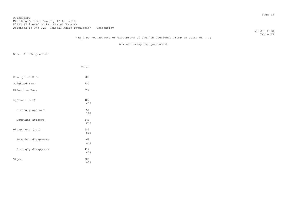## QuickQuery Fielding Period: January 17-19, 2018 Hording Forrow: candary 17 19, 2010<br>HCAPS (Filtered on Registered Voters) Weighted To The U.S. General Adult Population - Propensity

 20 Jan 2018 Table 13

# M3A 4 Do you approve or disapprove of the job President Trump is doing on ...?

Administering the government

|                     | Total       |
|---------------------|-------------|
| Unweighted Base     | 980         |
| Weighted Base       | 985         |
| Effective Base      | 624         |
| Approve (Net)       | 402<br>41%  |
| Strongly approve    | 156<br>16%  |
| Somewhat approve    | 246<br>25%  |
| Disapprove (Net)    | 583<br>59%  |
| Somewhat disapprove | 169<br>17%  |
| Strongly disapprove | 414<br>42%  |
| Sigma               | 985<br>100% |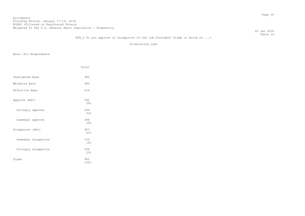20 Jan 2018 Table 14

# M3A 5 Do you approve or disapprove of the job President Trump is doing on ...?

Stimulating jobs

|                     | Total       |
|---------------------|-------------|
| Unweighted Base     | 980         |
| Weighted Base       | 985         |
| Effective Base      | 624         |
| Approve (Net)       | 582<br>59%  |
| Strongly approve    | 294<br>30%  |
| Somewhat approve    | 288<br>29%  |
| Disapprove (Net)    | 403<br>41%  |
| Somewhat disapprove | 154<br>16%  |
| Strongly disapprove | 249<br>25%  |
| Sigma               | 985<br>100% |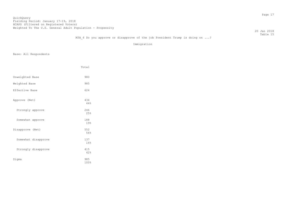20 Jan 2018 Table 15

# M3A 6 Do you approve or disapprove of the job President Trump is doing on ...?

Immigration

|                     | Total       |
|---------------------|-------------|
| Unweighted Base     | 980         |
| Weighted Base       | 985         |
| Effective Base      | 624         |
| Approve (Net)       | 434<br>44%  |
| Strongly approve    | 246<br>25%  |
| Somewhat approve    | 188<br>19%  |
| Disapprove (Net)    | 552<br>56%  |
| Somewhat disapprove | 137<br>14%  |
| Strongly disapprove | 415<br>42%  |
| Sigma               | 985<br>100% |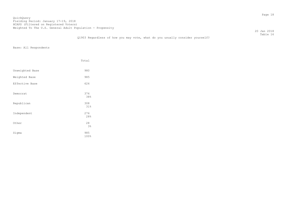20 Jan 2018 Table 16

## Q1903 Regardless of how you may vote, what do you usually consider yourself?

|                 | Total       |
|-----------------|-------------|
| Unweighted Base | 980         |
| Weighted Base   | 985         |
| Effective Base  | 624         |
| Democrat        | 374<br>38%  |
| Republican      | 308<br>31%  |
| Independent     | 276<br>28%  |
| Other           | 28<br>3%    |
| Sigma           | 985<br>100% |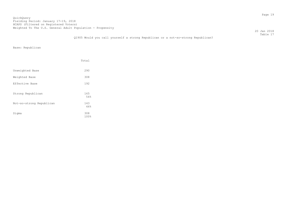20 Jan 2018 Table 17

Q1905 Would you call yourself a strong Republican or a not-so-strong Republican?

Base: Republican

|                          | Total       |
|--------------------------|-------------|
| Unweighted Base          | 290         |
| Weighted Base            | 308         |
| Effective Base           | 192         |
| Strong Republican        | 165<br>54%  |
| Not-so-strong Republican | 143<br>46%  |
| Sigma                    | 308<br>100% |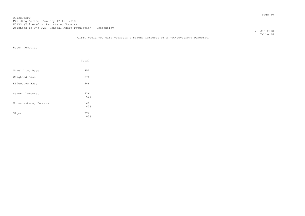20 Jan 2018 Table 18

## Q1910 Would you call yourself a strong Democrat or a not-so-strong Democrat?

Base: Democrat

|                        | Total       |
|------------------------|-------------|
| Unweighted Base        | 351         |
| Weighted Base          | 374         |
| Effective Base         | 246         |
| Strong Democrat        | 226<br>60%  |
| Not-so-strong Democrat | 148<br>40%  |
| Sigma                  | 374<br>100% |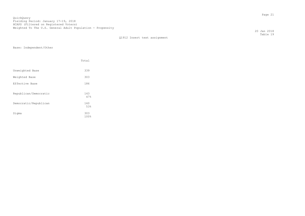Q1912 Insert text assignment

Base: Independent/Other

|                       | Total       |
|-----------------------|-------------|
| Unweighted Base       | 339         |
| Weighted Base         | 303         |
| Effective Base        | 186         |
| Republican/Democratic | 143<br>47%  |
| Democratic/Republican | 160<br>53%  |
| Sigma                 | 303<br>100% |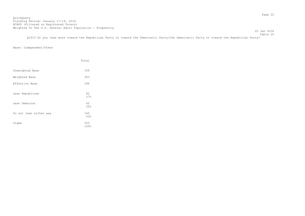20 Jan 2018 Table 20

Q1915 Do you lean more toward the Republican Party or toward the Democratic Party/the Democratic Party or toward the Republican Party?

# Base: Independent/Other

|                        | Total       |
|------------------------|-------------|
| Unweighted Base        | 339         |
| Weighted Base          | 303         |
| Effective Base         | 186         |
| Lean Republican        | 82<br>27%   |
| Lean Democrat          | 62<br>20%   |
| Do not lean either way | 160<br>53%  |
| Sigma                  | 303<br>100% |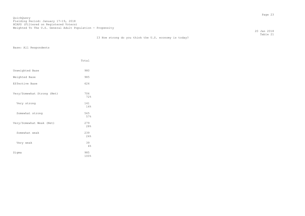20 Jan 2018 Table 21

|                            | Total       |
|----------------------------|-------------|
| Unweighted Base            | 980         |
| Weighted Base              | 985         |
| Effective Base             | 624         |
| Very/Somewhat Strong (Net) | 706<br>72%  |
| Very strong                | 141<br>14%  |
| Somewhat strong            | 565<br>57%  |
| Very/Somewhat Weak (Net)   | 279<br>28%  |
| Somewhat weak              | 239<br>24%  |
| Very weak                  | 39<br>4%    |
| Sigma                      | 985<br>100% |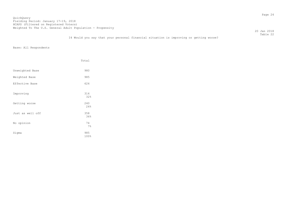20 Jan 2018 Table 22

## I4 Would you say that your personal financial situation is improving or getting worse?

|                  | Total       |
|------------------|-------------|
| Unweighted Base  | 980         |
| Weighted Base    | 985         |
| Effective Base   | 624         |
| Improving        | 314<br>32%  |
| Getting worse    | 240<br>24%  |
| Just as well off | 358<br>36%  |
| No opinion       | 74<br>7%    |
| Sigma            | 985<br>100% |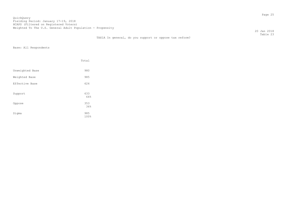20 Jan 2018 Table 23

# TAX1A In general, do you support or oppose tax reform?

|                 | Total       |
|-----------------|-------------|
| Unweighted Base | 980         |
| Weighted Base   | 985         |
| Effective Base  | 624         |
| Support         | 633<br>64%  |
| Oppose          | 353<br>36%  |
| Sigma           | 985<br>100% |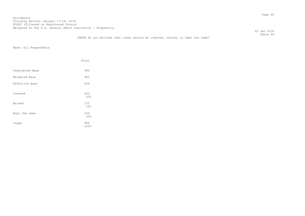20 Jan 2018 Table 24

## TAX2A Do you believe that taxes should be lowered, raised, or kept the same?

|                 | Total       |
|-----------------|-------------|
| Unweighted Base | 980         |
| Weighted Base   | 985         |
| Effective Base  | 624         |
| Lowered         | 643<br>65%  |
| Raised          | 123<br>12%  |
| Kept the same   | 220<br>22%  |
| Sigma           | 985<br>100% |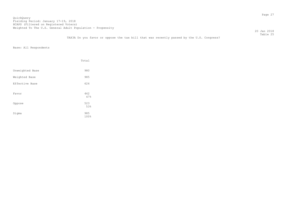20 Jan 2018 Table 25

TAX3A Do you favor or oppose the tax bill that was recently passed by the U.S. Congress?

|                 | Total       |
|-----------------|-------------|
| Unweighted Base | 980         |
| Weighted Base   | 985         |
| Effective Base  | 624         |
| Favor           | 462<br>47%  |
| Oppose          | 523<br>53%  |
| Sigma           | 985<br>100% |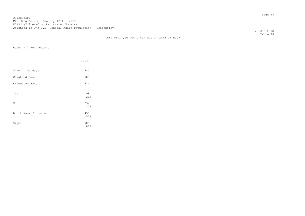20 Jan 2018 Table 26

|                     | Total             |
|---------------------|-------------------|
| Unweighted Base     | 980               |
| Weighted Base       | 985               |
| Effective Base      | 624               |
| Yes                 | 198<br>20%        |
| No                  | 294               |
| Don't Know / Unsure | 30%<br>493<br>50% |
| Sigma               | 985<br>100%       |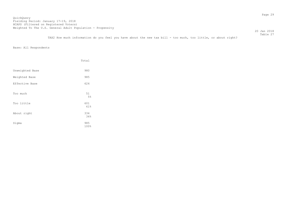Table 27 TAX2 How much information do you feel you have about the new tax bill - too much, too little, or about right?

|                 | Total       |
|-----------------|-------------|
| Unweighted Base | 980         |
| Weighted Base   | 985         |
| Effective Base  | 624         |
| Too much        | 51<br>5%    |
| Too little      | 601<br>61%  |
| About right     | 334<br>34%  |
| Sigma           | 985<br>100% |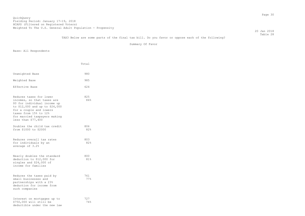20 Jan 2018 Table 28

TAX3 Below are some parts of the final tax bill. Do you favor or oppose each of the following?

Summary Of Favor

|                                                                                                                                                                                                                                   | Total      |
|-----------------------------------------------------------------------------------------------------------------------------------------------------------------------------------------------------------------------------------|------------|
| Unweighted Base                                                                                                                                                                                                                   | 980        |
| Weighted Base                                                                                                                                                                                                                     | 985        |
| Effective Base                                                                                                                                                                                                                    | 624        |
| Reduces taxes for lower<br>incomes, so that taxes are<br>\$0 for individual income up<br>to \$12,000 and up to \$24,000<br>for a couple and lowers<br>taxes from 15% to 12%<br>for married taxpayers making<br>less than \$77,400 | 825<br>84% |
| Doubles the child tax credit<br>from \$1000 to \$2000                                                                                                                                                                             | 806<br>82% |
| Reduces overall tax rates<br>for individuals by an<br>average of 3.2%                                                                                                                                                             | 803<br>82% |
| Nearly doubles the standard<br>deduction to \$12,000 for<br>singles and \$24,000 of<br>income for families                                                                                                                        | 800<br>81% |
| Reduces the taxes paid by<br>small businesses and<br>partnerships with a 23%<br>deduction for income from<br>such companies                                                                                                       | 761<br>77% |
| Interest on mortgages up to<br>\$750,000 will still be<br>deductible under the new law                                                                                                                                            | 727<br>74% |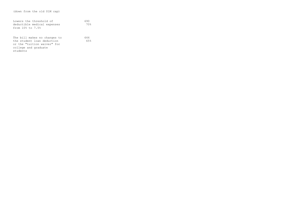| Lowers the threshold of<br>deductible medical expenses<br>from 10% to 7.5%                                                    | 690<br>70% |
|-------------------------------------------------------------------------------------------------------------------------------|------------|
| The bill makes no changes to<br>the student loan deduction<br>or the "tuition waiver" for<br>college and graduate<br>students | 644<br>65% |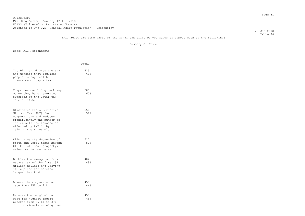TAX3 Below are some parts of the final tax bill. Do you favor or oppose each of the following?

Summary Of Favor

|                                                                                                                                                                                                | Total      |
|------------------------------------------------------------------------------------------------------------------------------------------------------------------------------------------------|------------|
| The bill eliminates the tax<br>and mandate that requires<br>people to buy health<br>insurance or pay a tax                                                                                     | 623<br>63% |
| Companies can bring back any<br>money they have generated<br>overseas at the lower tax<br>rate of 14.5%                                                                                        | 587<br>60% |
| Eliminates the Alternative<br>Minimum Tax (AMT) for<br>corporations and reduces<br>significantly the number of<br>individuals and households<br>affected by AMT it by<br>raising the threshold | 550<br>56% |
| Eliminates the deduction of<br>state and local taxes beyond<br>\$10,000 of local property,<br>sales, or income taxes                                                                           | 517<br>52% |
| Doubles the exemption from<br>estate tax of the first \$11<br>million dollars and leaving<br>it in place for estates<br>larger than that                                                       | 484<br>49% |
| Lowers the corporate tax<br>rate from 35% to 21%                                                                                                                                               | 458<br>46% |
| Reduces the marginal tax<br>rate for highest income<br>bracket from 39.6% to 37%<br>for individuals earning over                                                                               | 453<br>46% |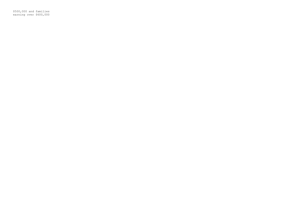\$500,000 and families earning over \$600,000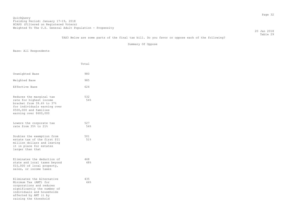20 Jan 2018 Table 29

TAX3 Below are some parts of the final tax bill. Do you favor or oppose each of the following?

Summary Of Oppose

|                                                                                                                                                                                                | Total      |
|------------------------------------------------------------------------------------------------------------------------------------------------------------------------------------------------|------------|
| Unweighted Base                                                                                                                                                                                | 980        |
| Weighted Base                                                                                                                                                                                  | 985        |
| Effective Base                                                                                                                                                                                 | 624        |
| Reduces the marginal tax<br>rate for highest income<br>bracket from 39.6% to 37%<br>for individuals earning over<br>\$500,000 and families<br>earning over \$600,000                           | 532<br>54% |
| Lowers the corporate tax<br>rate from 35% to 21%                                                                                                                                               | 527<br>54% |
| Doubles the exemption from<br>estate tax of the first \$11<br>million dollars and leaving<br>it in place for estates<br>larger than that                                                       | 501<br>51% |
| Eliminates the deduction of<br>state and local taxes beyond<br>\$10,000 of local property,<br>sales, or income taxes                                                                           | 468<br>48% |
| Eliminates the Alternative<br>Minimum Tax (AMT) for<br>corporations and reduces<br>significantly the number of<br>individuals and households<br>affected by AMT it by<br>raising the threshold | 435<br>44% |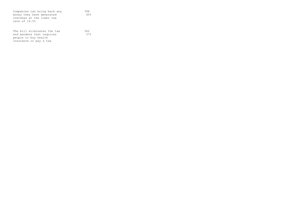| Companies can bring back any | 398 |
|------------------------------|-----|
| money they have generated    | 40% |
| overseas at the lower tax    |     |
| rate of 14.5%                |     |
|                              |     |
|                              |     |
| The bill eliminates the tax  | 362 |
| and mandate that requires    | 37% |
| people to buy health         |     |
| insurance or pay a tax       |     |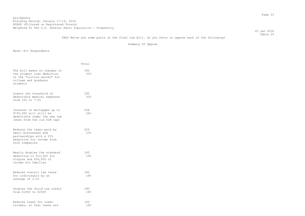TAX3 Below are some parts of the final tax bill. Do you favor or oppose each of the following?

Summary Of Oppose

|                                                                                                                               | Total      |
|-------------------------------------------------------------------------------------------------------------------------------|------------|
| The bill makes no changes to<br>the student loan deduction<br>or the "tuition waiver" for<br>college and graduate<br>students | 342<br>35% |
| Lowers the threshold of<br>deductible medical expenses<br>from 10% to 7.5%                                                    | 295<br>30% |
| Interest on mortgages up to<br>\$750,000 will still be<br>deductible under the new law<br>(down from the old \$1M cap)        | 258<br>26% |
| Reduces the taxes paid by<br>small businesses and<br>partnerships with a 23%<br>deduction for income from<br>such companies   | 224<br>23% |
| Nearly doubles the standard<br>deduction to \$12,000 for<br>singles and \$24,000 of<br>income for families                    | 185<br>19% |
| Reduces overall tax rates<br>for individuals by an<br>average of 3.2%                                                         | 182<br>18% |
| Doubles the child tax credit<br>from \$1000 to \$2000                                                                         | 180<br>18% |
| Reduces taxes for lower<br>incomes, so that taxes are                                                                         | 160<br>16% |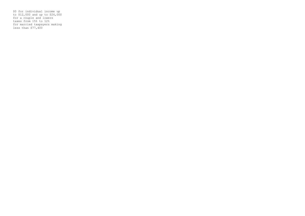\$0 for individual income up to \$12,000 and up to \$24,000 for a couple and lowers taxes from 15% to 12% for married taxpayers making less than \$77,400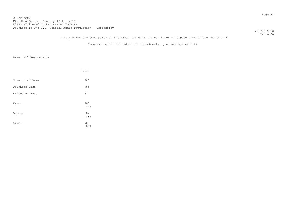#### QuickQuery Fielding Period: January 17-19, 2018 Hording Forrow: Sundary 17 19, 2010<br>HCAPS (Filtered on Registered Voters) Weighted To The U.S. General Adult Population - Propensity

 20 Jan 2018 Table 30

TAX3 1 Below are some parts of the final tax bill. Do you favor or oppose each of the following?

Reduces overall tax rates for individuals by an average of 3.2%

|                 | Total       |
|-----------------|-------------|
| Unweighted Base | 980         |
| Weighted Base   | 985         |
| Effective Base  | 624         |
| Favor           | 803<br>82%  |
| Oppose          | 182<br>18%  |
| Sigma           | 985<br>100% |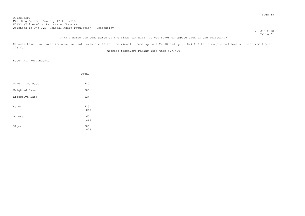## TAX3 2 Below are some parts of the final tax bill. Do you favor or oppose each of the following?

Reduces taxes for lower incomes, so that taxes are \$0 for individual income up to \$12,000 and up to \$24,000 for a couple and lowers taxes from 15% to 12% for

married taxpayers making less than \$77,400

|                 | Total       |
|-----------------|-------------|
| Unweighted Base | 980         |
| Weighted Base   | 985         |
| Effective Base  | 624         |
| Favor           | 825<br>84%  |
| Oppose          | 160<br>16%  |
| Sigma           | 985<br>100% |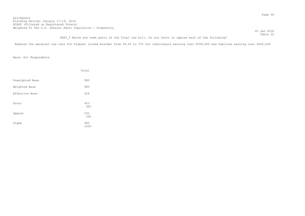Reduces the marginal tax rate for highest income bracket from 39.6% to 37% for individuals earning over \$500,000 and families earning over \$600,000

|                 | Total       |
|-----------------|-------------|
| Unweighted Base | 980         |
| Weighted Base   | 985         |
| Effective Base  | 624         |
| Favor           | 453<br>46%  |
| Oppose          | 532<br>54%  |
| Sigma           | 985<br>100% |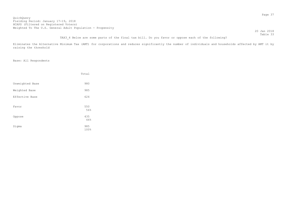|                                                                                                  | 20 Jan 2018 |
|--------------------------------------------------------------------------------------------------|-------------|
|                                                                                                  | Table 33    |
| TAX3 4 Below are some parts of the final tax bill. Do you favor or oppose each of the following? |             |

Eliminates the Alternative Minimum Tax (AMT) for corporations and reduces significantly the number of individuals and households affected by AMT it by raising the threshold

|                 | Total       |
|-----------------|-------------|
| Unweighted Base | 980         |
| Weighted Base   | 985         |
| Effective Base  | 624         |
| Favor           | 550<br>56%  |
| Oppose          | 435<br>44%  |
| Sigma           | 985<br>100% |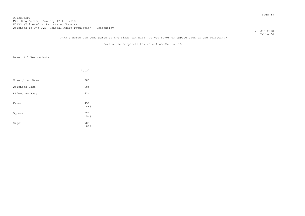#### QuickQuery Fielding Period: January 17-19, 2018 Hording Forrow: candary 17 19, 2010<br>HCAPS (Filtered on Registered Voters) Weighted To The U.S. General Adult Population - Propensity

 20 Jan 2018 Table 34

TAX3 5 Below are some parts of the final tax bill. Do you favor or oppose each of the following?

Lowers the corporate tax rate from 35% to 21%

|                 | Total       |
|-----------------|-------------|
| Unweighted Base | 980         |
| Weighted Base   | 985         |
| Effective Base  | 624         |
| Favor           | 458<br>46%  |
| Oppose          | 527<br>54%  |
| Sigma           | 985<br>100% |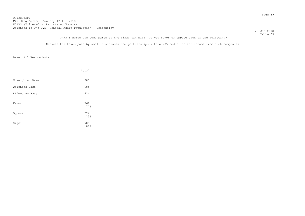TAX3 6 Below are some parts of the final tax bill. Do you favor or oppose each of the following?

Reduces the taxes paid by small businesses and partnerships with a 23% deduction for income from such companies

|                 | Total       |
|-----------------|-------------|
| Unweighted Base | 980         |
| Weighted Base   | 985         |
| Effective Base  | 624         |
| Favor           | 761<br>77%  |
| Oppose          | 224<br>23%  |
| Sigma           | 985<br>100% |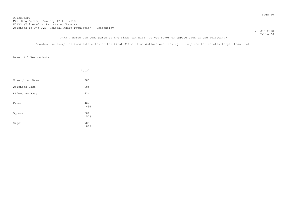20 Jan 2018 Table 36

TAX3 7 Below are some parts of the final tax bill. Do you favor or oppose each of the following?

Doubles the exemption from estate tax of the first \$11 million dollars and leaving it in place for estates larger than that

|                 | Total       |
|-----------------|-------------|
| Unweighted Base | 980         |
| Weighted Base   | 985         |
| Effective Base  | 624         |
| Favor           | 484<br>49%  |
| Oppose          | 501<br>51%  |
| Sigma           | 985<br>100% |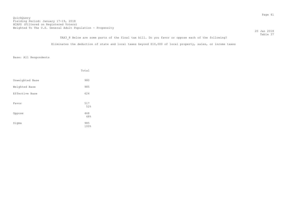TAX3 8 Below are some parts of the final tax bill. Do you favor or oppose each of the following?

Eliminates the deduction of state and local taxes beyond \$10,000 of local property, sales, or income taxes

|                 | Total       |
|-----------------|-------------|
| Unweighted Base | 980         |
| Weighted Base   | 985         |
| Effective Base  | 624         |
| Favor           | 517<br>52%  |
| Oppose          | 468<br>48%  |
| Sigma           | 985<br>100% |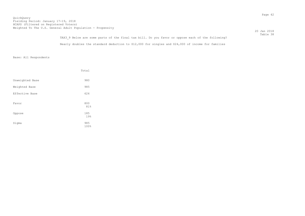|                                                                                                   | 20 Jan 2018 |
|---------------------------------------------------------------------------------------------------|-------------|
|                                                                                                   | Table 38    |
| TAX3 9 Below are some parts of the final tax bill. Do you favor or oppose each of the following?  |             |
| Nearly doubles the standard deduction to \$12,000 for singles and \$24,000 of income for families |             |

|                 | Total       |
|-----------------|-------------|
| Unweighted Base | 980         |
| Weighted Base   | 985         |
| Effective Base  | 624         |
| Favor           | 800<br>81%  |
| Oppose          | 185<br>19%  |
| Sigma           | 985<br>100% |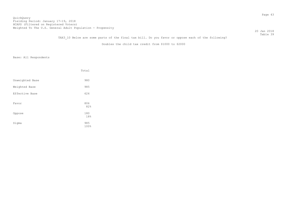TAX3 10 Below are some parts of the final tax bill. Do you favor or oppose each of the following?

Doubles the child tax credit from \$1000 to \$2000

|                 | Total       |
|-----------------|-------------|
| Unweighted Base | 980         |
| Weighted Base   | 985         |
| Effective Base  | 624         |
| Favor           | 806<br>82%  |
| Oppose          | 180<br>18%  |
| Sigma           | 985<br>100% |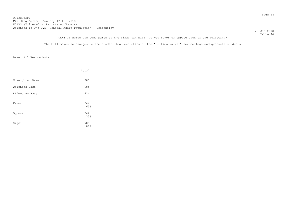TAX3 11 Below are some parts of the final tax bill. Do you favor or oppose each of the following?

The bill makes no changes to the student loan deduction or the "tuition waiver" for college and graduate students

|                 | Total       |
|-----------------|-------------|
| Unweighted Base | 980         |
| Weighted Base   | 985         |
| Effective Base  | 624         |
| Favor           | 644<br>65%  |
| Oppose          | 342<br>35%  |
| Sigma           | 985<br>100% |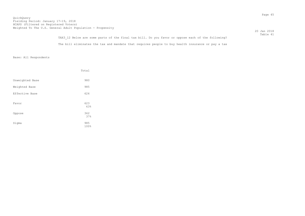| TAX3 12 Below are some parts of the final tax bill. Do you favor or oppose each of the following? | Table 41 |
|---------------------------------------------------------------------------------------------------|----------|
| The bill eliminates the tax and mandate that requires people to buy health insurance or pay a tax |          |

|                 | Total       |
|-----------------|-------------|
| Unweighted Base | 980         |
| Weighted Base   | 985         |
| Effective Base  | 624         |
| Favor           | 623<br>63%  |
| Oppose          | 362<br>37%  |
| Sigma           | 985<br>100% |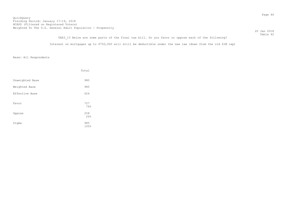20 Jan 2018

 Table 42 TAX3 13 Below are some parts of the final tax bill. Do you favor or oppose each of the following? Interest on mortgages up to \$750,000 will still be deductible under the new law (down from the old \$1M cap)

|                 | Total       |
|-----------------|-------------|
| Unweighted Base | 980         |
| Weighted Base   | 985         |
| Effective Base  | 624         |
| Favor           | 727<br>74%  |
| Oppose          | 258<br>26%  |
| Sigma           | 985<br>100% |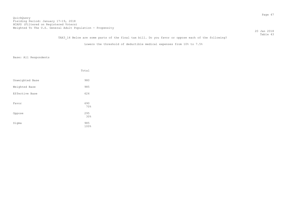# TAX3 14 Below are some parts of the final tax bill. Do you favor or oppose each of the following?

Lowers the threshold of deductible medical expenses from 10% to 7.5%

|                 | Total       |
|-----------------|-------------|
| Unweighted Base | 980         |
| Weighted Base   | 985         |
| Effective Base  | 624         |
| Favor           | 690<br>70%  |
| Oppose          | 295<br>30%  |
| Sigma           | 985<br>100% |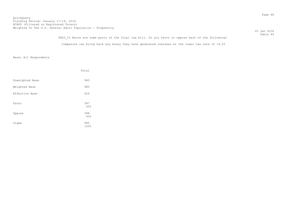Table 44 TAX3 15 Below are some parts of the final tax bill. Do you favor or oppose each of the following? Companies can bring back any money they have generated overseas at the lower tax rate of 14.5%

|                 | Total       |
|-----------------|-------------|
| Unweighted Base | 980         |
| Weighted Base   | 985         |
| Effective Base  | 624         |
| Favor           | 587<br>60%  |
| Oppose          | 398<br>40%  |
| Sigma           | 985<br>100% |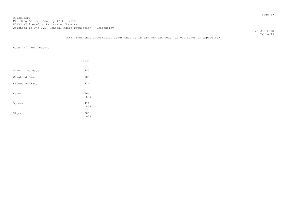20 Jan 2018 Table 45

TAX4 Given this information about what is in the new tax code, do you favor or oppose it?

|                 | Total       |
|-----------------|-------------|
| Unweighted Base | 980         |
| Weighted Base   | 985         |
| Effective Base  | 624         |
| Favor           | 564<br>57%  |
| Oppose          | 421<br>43%  |
| Sigma           | 985<br>100% |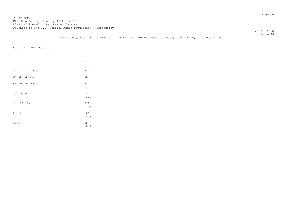20 Jan 2018 Table 46

TAX5 Do you think the bill cuts individual income taxes too much, too little, or about right?

|                 | Total       |
|-----------------|-------------|
| Unweighted Base | 980         |
| Weighted Base   | 985         |
| Effective Base  | 624         |
| Too much        | 157<br>16%  |
| Too little      | 322<br>33%  |
| About right     | 506<br>51%  |
| Sigma           | 985<br>100% |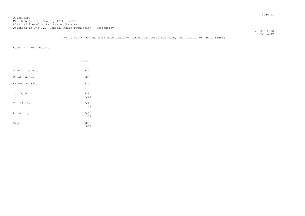20 Jan 2018 Table 47

TAX6 Do you think the bill cuts taxes on large businesses too much, too little, or about right?

|                 | Total       |
|-----------------|-------------|
| Unweighted Base | 980         |
| Weighted Base   | 985         |
| Effective Base  | 624         |
| Too much        | 389<br>39%  |
| Too little      | 249<br>25%  |
| About right     | 348<br>35%  |
| Sigma           | 985<br>100% |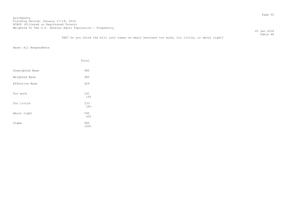20 Jan 2018 Table 48

TAX7 Do you think the bill cuts taxes on small business too much, too little, or about right?

|                 | Total       |
|-----------------|-------------|
| Unweighted Base | 980         |
| Weighted Base   | 985         |
| Effective Base  | 624         |
| Too much        | 161<br>16%  |
| Too little      | 233<br>24%  |
| About right     | 592<br>60%  |
| Sigma           | 985<br>100% |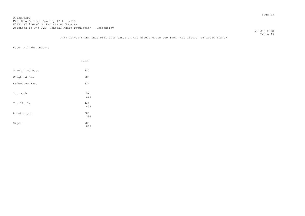20 Jan 2018 Table 49

TAX8 Do you think that bill cuts taxes on the middle class too much, too little, or about right?

|                 | Total       |
|-----------------|-------------|
| Unweighted Base | 980         |
| Weighted Base   | 985         |
| Effective Base  | 624         |
| Too much        | 156<br>16%  |
| Too little      | 446<br>45%  |
| About right     | 383<br>39%  |
| Sigma           | 985<br>100% |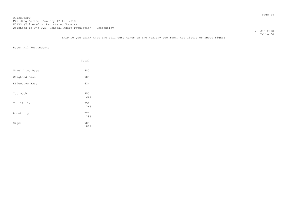20 Jan 2018 Table 50

TAX9 Do you think that the bill cuts taxes on the wealthy too much, too little or about right?

|                 | Total       |
|-----------------|-------------|
| Unweighted Base | 980         |
| Weighted Base   | 985         |
| Effective Base  | 624         |
| Too much        | 350<br>36%  |
| Too little      | 358<br>36%  |
| About right     | 277<br>28%  |
| Sigma           | 985<br>100% |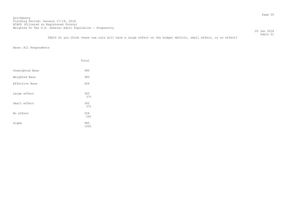TAX10 Do you think these tax cuts will have a large effect on the budget deficit, small effect, or no effect?

|                 | Total             |
|-----------------|-------------------|
| Unweighted Base | 980               |
| Weighted Base   | 985               |
| Effective Base  | 624               |
| Large effect    | 365<br>37%        |
| Small effect    | 362               |
| No effect       | 37%<br>258<br>26% |
| Sigma           | 985<br>100%       |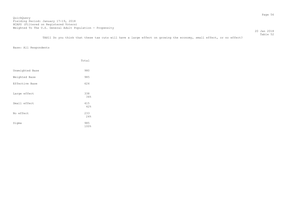20 Jan 2018

 Table 52 TAX11 Do you think that these tax cuts will have a large effect on growing the economy, small effect, or no effect?

|                 | Total       |
|-----------------|-------------|
| Unweighted Base | 980         |
| Weighted Base   | 985         |
| Effective Base  | 624         |
| Large effect    | 338<br>34%  |
| Small effect    | 415<br>42%  |
| No effect       | 233<br>24%  |
| Sigma           | 985<br>100% |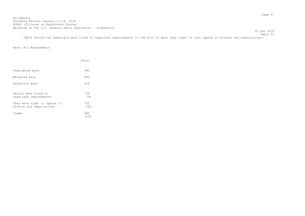Table 53 TAX14 Should the Democrats have tried to negotiate improvements in the bill or were they right to just oppose it without any negotiations?

20 Jan 2018

|                                                          | Total          |
|----------------------------------------------------------|----------------|
| Unweighted Base                                          | 980            |
| Weighted Base                                            | 985            |
| Effective Base                                           | 624            |
| Should have tried to<br>negotiate improvements           | 734<br>74%     |
| They were right to oppose it<br>without any negotiations | 2.52<br>26%    |
| Sigma                                                    | 985<br>$100\%$ |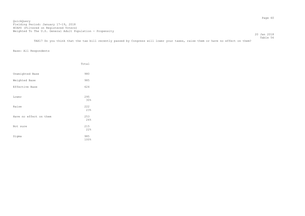20 Jan 2018

Table 56

TAX17 Do you think that the tax bill recently passed by Congress will lower your taxes, raise them or have no effect on them?

|                        | Total       |
|------------------------|-------------|
| Unweighted Base        | 980         |
| Weighted Base          | 985         |
| Effective Base         | 624         |
| Lower                  | 295<br>30%  |
| Raise                  | 222<br>23%  |
| Have no effect on them | 253<br>26%  |
| Not sure               | 215<br>22%  |
| Sigma                  | 985<br>100% |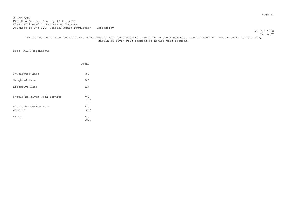20 Jan 2018 Table 57

 IM1 Do you think that children who were brought into this country illegally by their parents, many of whom are now in their 20s and 30s, should be given work permits or denied work permits?

|                                  | Total       |
|----------------------------------|-------------|
| Unweighted Base                  | 980         |
| Weighted Base                    | 985         |
| Effective Base                   | 624         |
| Should be given work permits     | 766<br>78%  |
| Should be denied work<br>permits | 220<br>22.8 |
| Sigma                            | 985<br>100% |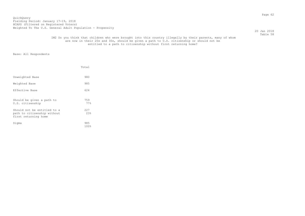20 Jan 2018 Table 58

## IM2 Do you think that children who were brought into this country illegally by their parents, many of whom are now in their 20s and 30s, should be given a path to U.S. citizenship or should not be entitled to a path to citizenship without first returning home?

|                                                                                    | Total        |
|------------------------------------------------------------------------------------|--------------|
| Unweighted Base                                                                    | 980          |
| Weighted Base                                                                      | 985          |
| Effective Base                                                                     | 624          |
| Should be given a path to<br>U.S. citizenship                                      | 759<br>77%   |
| Should not be entitled to a<br>path to citizenship without<br>first returning home | 2.2.7<br>23% |
| Sigma                                                                              | 985<br>100%  |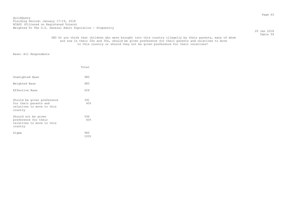20 Jan 2018 Table 59

## IM3 Do you think that children who were brought into this country illegally by their parents, many of whom are now in their 20s and 30s, should be given preference for their parents and relatives to move to this country or should they not be given preference for their relatives?

|                                                                                             | Total       |
|---------------------------------------------------------------------------------------------|-------------|
| Unweighted Base                                                                             | 980         |
| Weighted Base                                                                               | 985         |
| Effective Base                                                                              | 624         |
| Should be given preference<br>for their parents and<br>relatives to move to this<br>country | 391<br>40%  |
| Should not be given<br>preference for their<br>relatives to move to this<br>country         | 594<br>60%  |
| Sigma                                                                                       | 985<br>100% |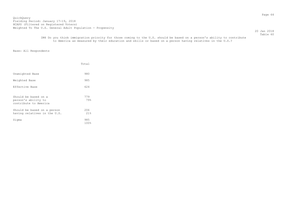20 Jan 2018 Table 60

 IM4 Do you think immigration priority for those coming to the U.S. should be based on a person's ability to contribute to America as measured by their education and skills or based on a person having relatives in the U.S.?

|                                                                      | Total       |
|----------------------------------------------------------------------|-------------|
| Unweighted Base                                                      | 980         |
| Weighted Base                                                        | 985         |
| Effective Base                                                       | 624         |
| Should be based on a<br>person's ability to<br>contribute to America | 779<br>79%  |
| Should be based on a person<br>having relatives in the U.S.          | 206<br>21%  |
| Sigma                                                                | 985<br>100% |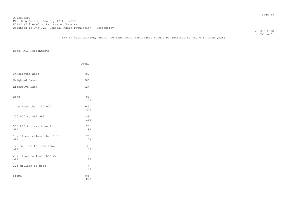20 Jan 2018 Table 61

IM5 In your opinion, about how many legal immigrants should be admitted to the U.S. each year?

|                                       | Total                |  |
|---------------------------------------|----------------------|--|
| Unweighted Base                       | 980                  |  |
|                                       |                      |  |
| Weighted Base                         | 985                  |  |
| Effective Base                        | 624                  |  |
| None                                  | 88<br>$9\frac{6}{6}$ |  |
| 1 to less than 250,000                | 343<br>35%           |  |
| 250,000 to 499,999                    | 189<br>19%           |  |
| 500,000 to less than 1<br>million     | 177<br>18%           |  |
| 1 million to less than 1.5<br>million | 70<br>7%             |  |
| 1.5 million to less than 2<br>million | 33<br>3%             |  |
| 2 million to less than 2.5<br>million | 12<br>1%             |  |
| 2.5 million or more                   | 74<br>8 <sup>°</sup> |  |
| Sigma                                 | 985<br>100%          |  |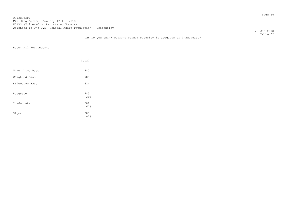20 Jan 2018 Table 62

# IM6 Do you think current border security is adequate or inadequate?

|                 | Total              |  |
|-----------------|--------------------|--|
| Unweighted Base | 980                |  |
| Weighted Base   | 985                |  |
| Effective Base  | 624                |  |
| Adequate        | 385<br>39%         |  |
| Inadequate      | 601                |  |
| Sigma           | 61%<br>985<br>100% |  |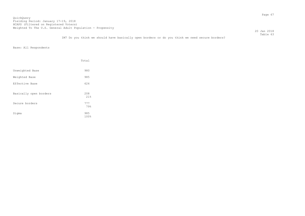20 Jan 2018

 Table 63 IM7 Do you think we should have basically open borders or do you think we need secure borders?

|                        | Total       |
|------------------------|-------------|
| Unweighted Base        | 980         |
| Weighted Base          | 985         |
| Effective Base         | 624         |
| Basically open borders | 208<br>21%  |
| Secure borders         | 777<br>79%  |
| Sigma                  | 985<br>100% |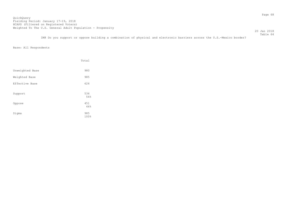20 Jan 2018

 Table 64 IM8 Do you support or oppose building a combination of physical and electronic barriers across the U.S.-Mexico border?

|                 | Total              |
|-----------------|--------------------|
| Unweighted Base | 980                |
| Weighted Base   | 985                |
| Effective Base  | 624                |
| Support         | 534<br>54%         |
| Oppose          | 451                |
| Sigma           | 46%<br>985<br>100% |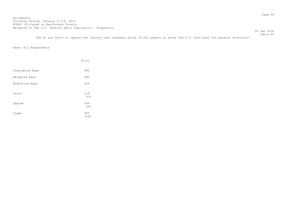QuickQuery Fielding Period: January 17-19, 2018 Hording Forrow: candary 17 19, 2010<br>HCAPS (Filtered on Registered Voters) Weighted To The U.S. General Adult Population - Propensity

 Table 65 IM9 Do you favor or oppose the lottery that randomly picks 50,000 people to enter the U.S. each year for greater diversity?

20 Jan 2018

|                 | Total       |
|-----------------|-------------|
| Unweighted Base | 980         |
| Weighted Base   | 985         |
| Effective Base  | 624         |
| Favor           | 319<br>32%  |
| Oppose          | 666<br>68%  |
| Sigma           | 985<br>100% |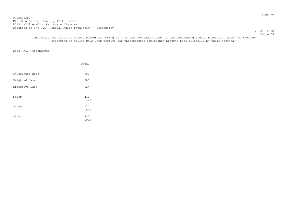20 Jan 2018 Table 66

 IM10 Would you favor or oppose Democrats voting to shut the government down if the continuing budget resolution does not include restoring so-called DACA work permits for undocumented immigrants brought here illegally by their parents?

|                 | Total       |
|-----------------|-------------|
| Unweighted Base | 980         |
| Weighted Base   | 985         |
| Effective Base  | 624         |
| Favor           | 416<br>42%  |
| Oppose          | 570<br>58%  |
| Sigma           | 985<br>100% |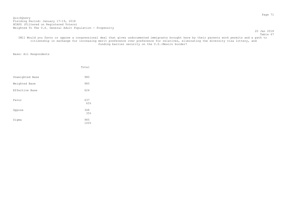20 Jan 2018

Table 67 IM11 Would you favor or oppose a congressional deal that gives undocumented immigrants brought here by their parents work permits and a path to citizenship in exchange for increasing merit preference over preference for relatives, eliminating the diversity visa lottery, and funding barrier security on the U.S.-Mexico border?

|                 | Total       |
|-----------------|-------------|
| Unweighted Base | 980         |
| Weighted Base   | 985         |
| Effective Base  | 624         |
| Favor           | 637<br>65%  |
| Oppose          | 348<br>35%  |
| Sigma           | 985<br>100% |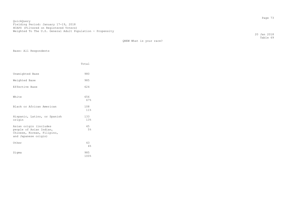20 Jan 2018 Table 69

|                                                                                                         | Total                  |
|---------------------------------------------------------------------------------------------------------|------------------------|
| Unweighted Base                                                                                         | 980                    |
| Weighted Base                                                                                           | 985                    |
| Effective Base                                                                                          | 624                    |
| White                                                                                                   | 656<br>67%             |
| Black or African American                                                                               | 108<br>11 <sub>8</sub> |
| Hispanic, Latino, or Spanish<br>origin                                                                  | 133<br>13%             |
| Asian origin (includes<br>people of Asian Indian,<br>Chinese, Korean, Filipino,<br>and Japanese origin) | 45<br>5%               |
| Other                                                                                                   | 43<br>4%               |
| Sigma                                                                                                   | 985<br>100%            |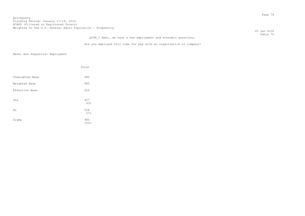20 Jan 2018 Table 70

| Q398 1 Next, we have a few employment and economic questions. |
|---------------------------------------------------------------|
|---------------------------------------------------------------|

Are you employed full time for pay with an organization or company?

|                 | Total       |
|-----------------|-------------|
| Unweighted Base | 980         |
| Weighted Base   | 985         |
| Effective Base  | 624         |
| Yes             | 427<br>43%  |
| No              | 558<br>57%  |
| Sigma           | 985<br>100% |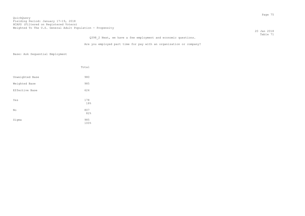20 Jan 2018 Table 71

| Q398 2 Next, we have a few employment and economic questions. |  |  |  |  |
|---------------------------------------------------------------|--|--|--|--|
|                                                               |  |  |  |  |

Are you employed part time for pay with an organization or company?

|                 | Total       |
|-----------------|-------------|
| Unweighted Base | 980         |
| Weighted Base   | 985         |
| Effective Base  | 624         |
| Yes             | 178<br>18%  |
| No              | 807<br>82%  |
| Sigma           | 985<br>100% |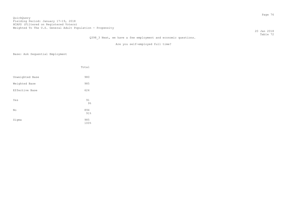# QuickQuery Fielding Period: January 17-19, 2018 Hording Forrow: candary 17 19, 2010<br>HCAPS (Filtered on Registered Voters) Weighted To The U.S. General Adult Population - Propensity

 20 Jan 2018 Table 72

# Q398 3 Next, we have a few employment and economic questions.

Are you self-employed full time?

|                 | Total                |
|-----------------|----------------------|
| Unweighted Base | 980                  |
| Weighted Base   | 985                  |
| Effective Base  | 624                  |
| Yes             | 91<br>9 <sub>8</sub> |
| No              | 894<br>91%           |
| Sigma           | 985<br>100%          |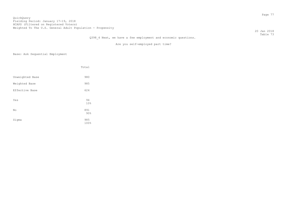# QuickQuery Fielding Period: January 17-19, 2018 Hording Forrow: candary 17 19, 2010<br>HCAPS (Filtered on Registered Voters) Weighted To The U.S. General Adult Population - Propensity

 20 Jan 2018 Table 73

# Q398 4 Next, we have a few employment and economic questions.

Are you self-employed part time?

|                 | Total                 |
|-----------------|-----------------------|
| Unweighted Base | 980                   |
| Weighted Base   | 985                   |
| Effective Base  | 624                   |
| Yes             | 94<br>10 <sup>°</sup> |
| No              | 891<br>90%            |
| Sigma           | 985<br>100%           |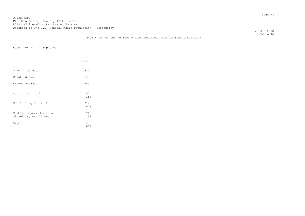20 Jan 2018 Table 74

# Q402 Which of the following best describes your current situation?

Base: Not At All Employed

|                                                  | Total                 |
|--------------------------------------------------|-----------------------|
| Unweighted Base                                  | 414                   |
| Weighted Base                                    | 343                   |
| Effective Base                                   | 253                   |
| Looking for work                                 | 50<br>15%             |
| Not looking for work                             | 214<br>62%            |
| Unable to work due to a<br>disability or illness | 79<br>23 <sup>8</sup> |
| Sigma                                            | 343<br>100%           |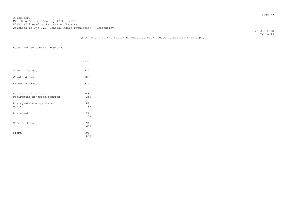20 Jan 2018 Table 75

# Q404 Do any of the following describe you? Please select all that apply.

|                                                       | Total                |
|-------------------------------------------------------|----------------------|
| Unweighted Base                                       | 980                  |
| Weighted Base                                         | 985                  |
| Effective Base                                        | 624                  |
| Retired and collecting<br>retirement benefits/pension | 248<br>25%           |
| A stay-at-home spouse or<br>partner                   | 82<br>8 <sup>°</sup> |
| A student                                             | 72<br>7%             |
| None of these                                         | 594<br>60%           |
| Sigma                                                 | 996<br>101%          |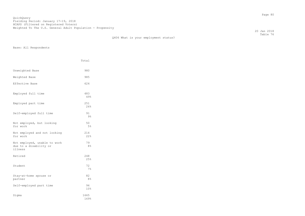20 Jan 2018 Table 76

Q406 What is your employment status?

|                                                                   | Total                 |
|-------------------------------------------------------------------|-----------------------|
| Unweighted Base                                                   | 980                   |
| Weighted Base                                                     | 985                   |
| Effective Base                                                    | 624                   |
| Employed full time                                                | 483<br>49%            |
| Employed part time                                                | 251<br>26%            |
| Self-employed full time                                           | 91<br>9%              |
| Not employed, but looking<br>for work                             | 50<br>$5\%$           |
| Not employed and not looking<br>for work                          | 214<br>22%            |
| Not employed, unable to work<br>due to a disability or<br>illness | 79<br>8 <sup>°</sup>  |
| Retired                                                           | 248<br>25%            |
| Student                                                           | 72<br>7%              |
| Stay-at-home spouse or<br>partner                                 | 82<br>8 <sup>°</sup>  |
| Self-employed part time                                           | 94<br>10 <sub>8</sub> |
| Sigma                                                             | 1665<br>169%          |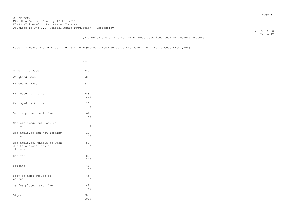20 Jan 2018 Table 77

### Q410 Which one of the following best describes your employment status?

Base: 18 Years Old Or Older And (Single Employment Item Selected And More Than 1 Valid Code From Q406)

|                                                                   | Total                  |
|-------------------------------------------------------------------|------------------------|
| Unweighted Base                                                   | 980                    |
| Weighted Base                                                     | 985                    |
| Effective Base                                                    | 624                    |
| Employed full time                                                | 388<br>39%             |
| Employed part time                                                | 113<br>11 <sup>°</sup> |
| Self-employed full time                                           | 61<br>6%               |
| Not employed, but looking<br>for work                             | 45<br>5%               |
| Not employed and not looking<br>for work                          | 10<br>$1\%$            |
| Not employed, unable to work<br>due to a disability or<br>illness | 50<br>5%               |
| Retired                                                           | 187<br>19%             |
| Student                                                           | 43<br>4%               |
| Stay-at-home spouse or<br>partner                                 | 45<br>5%               |
| Self-employed part time                                           | 42<br>4%               |
| Sigma                                                             | 985<br>100%            |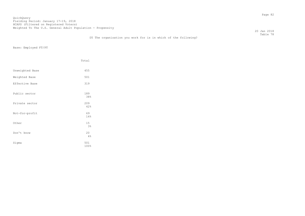20 Jan 2018 Table 78

# D5 The organization you work for is in which of the following?

Base: Employed FT/PT

|                 | Total       |
|-----------------|-------------|
| Unweighted Base | 455         |
| Weighted Base   | 501         |
| Effective Base  | 319         |
| Public sector   | 189<br>38%  |
| Private sector  | 209<br>42%  |
| Not-for-profit  | 69<br>14%   |
| Other           | 15<br>3%    |
| Don't know      | 20<br>4%    |
| Sigma           | 501<br>100% |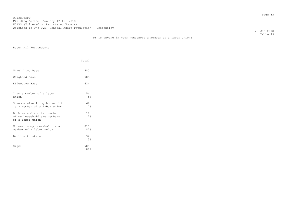20 Jan 2018 Table 79

# D6 Is anyone in your household a member of a labor union?

|                                                                               | Total                |
|-------------------------------------------------------------------------------|----------------------|
| Unweighted Base                                                               | 980                  |
| Weighted Base                                                                 | 985                  |
| Effective Base                                                                | 624                  |
| I am a member of a labor<br>union                                             | 54<br>5%             |
| Someone else in my household<br>is a member of a labor union                  | 66<br>7%             |
| Both me and another member<br>of my household are members<br>of a labor union | 18<br>2%             |
| No one in my household is a<br>member of a labor union                        | 813<br>82%           |
| Decline to state                                                              | 34<br>3 <sup>°</sup> |
| Sigma                                                                         | 985<br>100%          |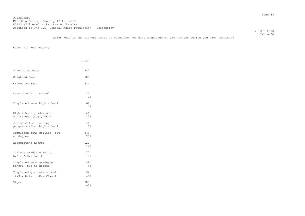#### Table 80 Q2146 What is the highest level of education you have completed or the highest degree you have received?

|                                                        | Total       |
|--------------------------------------------------------|-------------|
| Unweighted Base                                        | 980         |
| Weighted Base                                          | 985         |
| Effective Base                                         | 624         |
| Less than high school                                  | 12<br>$1\%$ |
| Completed some high school                             | 66<br>7%    |
| High school graduate or<br>equivalent (e.q., GED)      | 146<br>15%  |
| Job-specific training<br>programs after high school    | 46<br>5%    |
| Completed some college, but<br>no degree               | 246<br>25%  |
| Associate's degree                                     | 123<br>12%  |
| College graduate $(e,q,$<br>B.A., A.B., B.S.)          | 172<br>17%  |
| Completed some graduate<br>school, but no degree       | 39<br>4%    |
| Completed graduate school<br>(e.g., M.S., M.D., Ph.D.) | 134<br>14%  |
| Sigma                                                  | 985<br>100% |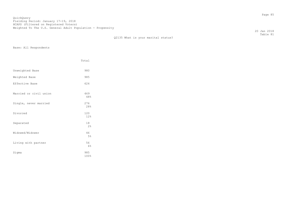Q2135 What is your marital status?

Base: All Respondents

|                        | Total       |  |
|------------------------|-------------|--|
| Unweighted Base        | 980         |  |
| Weighted Base          | 985         |  |
| Effective Base         | 624         |  |
| Married or civil union | 469<br>48%  |  |
| Single, never married  | 276<br>28%  |  |
| Divorced               | 120<br>12%  |  |
| Separated              | 18<br>2%    |  |
| Widowed/Widower        | 46<br>5%    |  |
| Living with partner    | 56<br>6%    |  |
| Sigma                  | 985<br>100% |  |

 20 Jan 2018 Table 81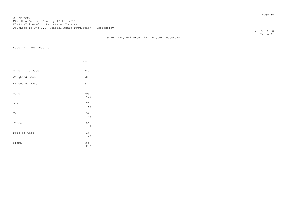QuickQuery Fielding Period: January 17-19, 2018 Hording Forrod: Candary 17 19, 2010<br>HCAPS (Filtered on Registered Voters) Weighted To The U.S. General Adult Population - Propensity

D9 How many children live in your household?

 20 Jan 2018 Table 82

|  | Base: All Respondents |
|--|-----------------------|
|--|-----------------------|

|                 | Total       |
|-----------------|-------------|
| Unweighted Base | 980         |
| Weighted Base   | 985         |
| Effective Base  | 624         |
| None            | 599<br>61%  |
| One             | 175<br>18%  |
| Two             | 134<br>14%  |
| Three           | 54<br>5%    |
| Four or more    | 24<br>2%    |
| Sigma           | 985<br>100% |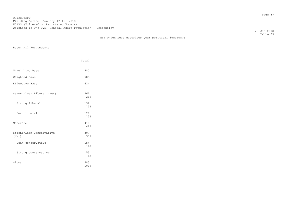M12 Which best describes your political ideology?

 20 Jan 2018 Table 83

|                                   | Total       |
|-----------------------------------|-------------|
| Unweighted Base                   | 980         |
| Weighted Base                     | 985         |
| Effective Base                    | 624         |
| Strong/Lean Liberal (Net)         | 261<br>26%  |
| Strong liberal                    | 132<br>13%  |
| Lean liberal                      | 128<br>13%  |
| Moderate                          | 418<br>42%  |
| Strong/Lean Conservative<br>(Net) | 307<br>31%  |
| Lean conservative                 | 154<br>16%  |
| Strong conservative               | 153<br>16%  |
| Sigma                             | 985<br>100% |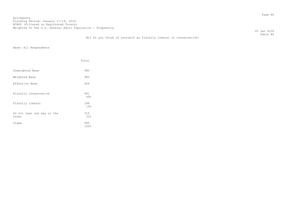20 Jan 2018 Table 84

# M13 Do you think of yourself as fiscally liberal or conservative?

|                                     | Total       |
|-------------------------------------|-------------|
| Unweighted Base                     | 980         |
| Weighted Base                       | 985         |
| Effective Base                      | 624         |
| Fiscally conservative               | 481<br>49%  |
| Fiscally liberal                    | 188<br>19%  |
| Do not lean one way or the<br>other | 316<br>32%  |
| Sigma                               | 985<br>100% |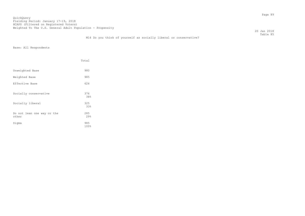20 Jan 2018 Table 85

# M14 Do you think of yourself as socially liberal or conservative?

|                                     | Total       |
|-------------------------------------|-------------|
| Unweighted Base                     | 980         |
| Weighted Base                       | 985         |
| Effective Base                      | 624         |
| Socially conservative               | 376<br>38%  |
| Socially liberal                    | 325<br>33%  |
| Do not lean one way or the<br>other | 285<br>29%  |
| Sigma                               | 985<br>100% |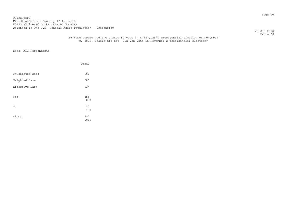### QuickQuery Fielding Period: January 17-19, 2018 Hording Forrow: candary 17 19, 2010<br>HCAPS (Filtered on Registered Voters) Weighted To The U.S. General Adult Population - Propensity

 20 Jan 2018 Table 86

# S3 Some people had the chance to vote in this year's presidential election on November 8, 2016. Others did not. Did you vote in November's presidential election?

|                 | Total              |
|-----------------|--------------------|
| Unweighted Base | 980                |
| Weighted Base   | 985                |
| Effective Base  | 624                |
| Yes             | 855<br>87%         |
| No              | 130                |
| Sigma           | 13%<br>985<br>100% |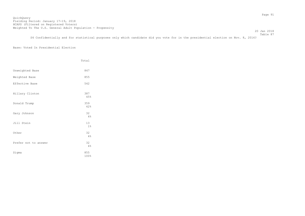20 Jan 2018

 Table 87 S4 Confidentially and for statistical purposes only which candidate did you vote for in the presidential election on Nov. 8, 2016?

# Base: Voted In Presidential Election

|                      | Total       |
|----------------------|-------------|
| Unweighted Base      | 847         |
| Weighted Base        | 855         |
| Effective Base       | 542         |
| Hillary Clinton      | 387<br>45%  |
| Donald Trump         | 359<br>42%  |
| Gary Johnson         | 32<br>4%    |
| Jill Stein           | 13<br>$1\%$ |
| Other                | 32<br>4%    |
| Prefer not to answer | 32<br>4%    |
| Sigma                | 855<br>100% |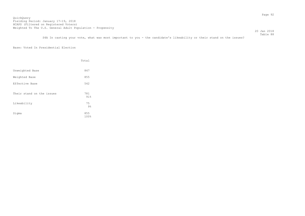20 Jan 2018

 Table 88 S4A In casting your vote, what was most important to you - the candidate's likeability or their stand on the issues?

# Base: Voted In Presidential Election

|                           | Total                         |
|---------------------------|-------------------------------|
| Unweighted Base           | 847                           |
| Weighted Base             | 855                           |
| Effective Base            | 542                           |
| Their stand on the issues | 781<br>91%                    |
| Likeability               | 75                            |
| Sigma                     | $9\frac{6}{6}$<br>855<br>100% |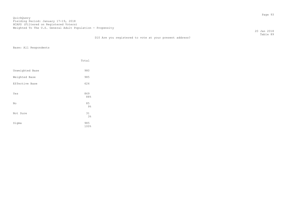D10 Are you registered to vote at your present address?

 20 Jan 2018 Table 89

|                 | Total                |
|-----------------|----------------------|
| Unweighted Base | 980                  |
| Weighted Base   | 985                  |
| Effective Base  | 624                  |
| Yes             | 869<br>88%           |
| No              | 85<br>$9\frac{6}{3}$ |
| Not Sure        | 31<br>3%             |
| Sigma           | 985<br>100%          |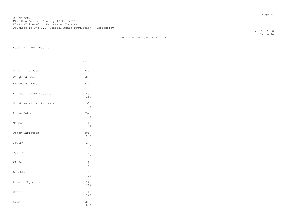D11 What is your religion?

Base: All Respondents

|                            | Total                |
|----------------------------|----------------------|
| Unweighted Base            | 980                  |
| Weighted Base              | 985                  |
| Effective Base             | 624                  |
| Evangelical Protestant     | 145<br>15%           |
| Non-Evangelical Protestant | 97<br>10%            |
| Roman Catholic             | 232<br>24%           |
| Mormon                     | 11<br>$1\%$          |
| Other Christian            | 201<br>20%           |
| Jewish                     | 27<br>3 <sup>°</sup> |
| Muslim                     | 5<br>1 <sup>°</sup>  |
| Hindu                      | 3<br>$\star$         |
| Buddhist                   | 9<br>$1\%$           |
| Atheist/Agnostic           | 114<br>12%           |
| Other                      | 141<br>14%           |
| Sigma                      | 985<br>100%          |

 20 Jan 2018 Table 90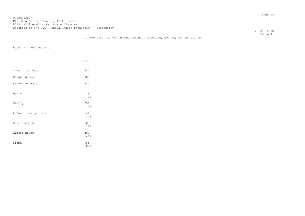20 Jan 2018 Table 91

# D12 How often do you attend religion services, events, or gatherings?

|                       | Total       |
|-----------------------|-------------|
| Unweighted Base       | 980         |
| Weighted Base         | 985         |
| Effective Base        | 624         |
| Daily                 | 26<br>3%    |
| Weekly                | 251<br>25%  |
| A few times per month | 142<br>14%  |
| Once a month          | 87<br>9%    |
| Almost never          | 480<br>49%  |
| Sigma                 | 985<br>100% |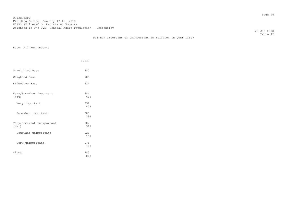20 Jan 2018 Table 92

# D13 How important or unimportant is religion in your life?

|                                    | Total       |
|------------------------------------|-------------|
| Unweighted Base                    | 980         |
| Weighted Base                      | 985         |
| Effective Base                     | 624         |
| Very/Somewhat Important<br>(Net)   | 684<br>69%  |
| Very important                     | 399<br>40%  |
| Somewhat important                 | 285<br>29%  |
| Very/Somewhat Unimportant<br>(Net) | 302<br>31%  |
| Somewhat unimportant               | 123<br>13%  |
| Very unimportant                   | 178<br>18%  |
| Sigma                              | 985<br>100% |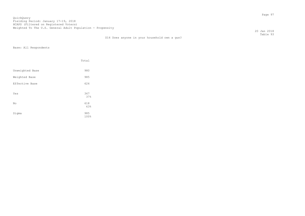D14 Does anyone in your household own a gun?

 20 Jan 2018 Table 93

|                 | Total              |
|-----------------|--------------------|
| Unweighted Base | 980                |
| Weighted Base   | 985                |
| Effective Base  | 624                |
| Yes             | 367<br>37%         |
| No              | 618                |
| Sigma           | 63%<br>985<br>100% |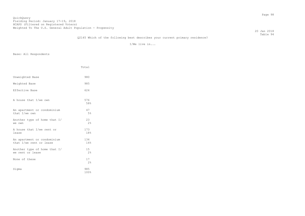20 Jan 2018 Table 94

# Q2145 Which of the following best describes your current primary residence?

I/We live in...

|                                                        | Total                 |
|--------------------------------------------------------|-----------------------|
| Unweighted Base                                        | 980                   |
| Weighted Base                                          | 985                   |
| Effective Base                                         | 624                   |
| A house that I/we own                                  | 576<br>58%            |
| An apartment or condominium<br>that I/we own           | 47<br>5%              |
| Another type of home that I/<br>we own                 | 23<br>2.8             |
| A house that I/we rent or<br>lease                     | 173<br>18%            |
| An apartment or condominium<br>that I/we rent or lease | 134<br>14%            |
| Another type of home that I/<br>we rent or lease       | 15 <sub>1</sub><br>2% |
| None of these                                          | 17<br>2%              |
| Sigma                                                  | 985<br>100%           |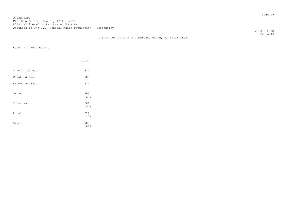20 Jan 2018 Table 95

# D16 Do you live in a suburban, urban, or rural area?

|                 | Total       |
|-----------------|-------------|
| Unweighted Base | 980         |
| Weighted Base   | 985         |
| Effective Base  | 624         |
| Urban           | 263<br>27%  |
| Suburban        | 501<br>51%  |
| Rural           | 221<br>22%  |
| Sigma           | 985<br>100% |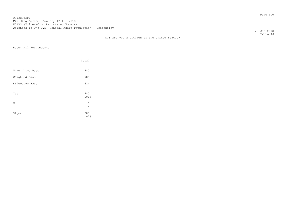D18 Are you a Citizen of the United States?

 20 Jan 2018 Table 96

|                 | Total        |  |
|-----------------|--------------|--|
| Unweighted Base | 980          |  |
| Weighted Base   | 985          |  |
| Effective Base  | 624          |  |
| Yes             | 980<br>100%  |  |
| No              | 5<br>$\star$ |  |
| Sigma           | 985<br>100%  |  |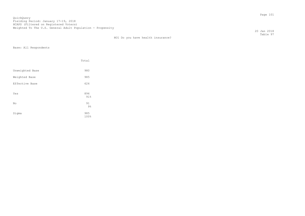20 Jan 2018 Table 97

|  |  |  |  |  | HO1 Do vou have health insurance?<br>. |
|--|--|--|--|--|----------------------------------------|
|--|--|--|--|--|----------------------------------------|

|                 | Total       |  |
|-----------------|-------------|--|
| Unweighted Base | 980         |  |
| Weighted Base   | 985         |  |
| Effective Base  | 624         |  |
| Yes             | 894<br>91%  |  |
| No              | 91<br>$9\%$ |  |
| Sigma           | 985<br>100% |  |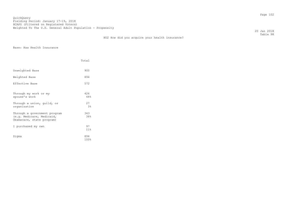QuickQuery Fielding Period: January 17-19, 2018 HCAPS (Filtered on Registered Voters) Weighted To The U.S. General Adult Population - Propensity

HO2 How did you acquire your health insurance?

 20 Jan 2018 Table 98

Base: Has Health Insurance

|                                                                                        | Total                 |  |
|----------------------------------------------------------------------------------------|-----------------------|--|
| Unweighted Base                                                                        | 900                   |  |
| Weighted Base                                                                          | 894                   |  |
| Effective Base                                                                         | 572                   |  |
| Through my work or my<br>spouse's work                                                 | 426<br>48%            |  |
| Through a union, quild, or<br>organization                                             | 27<br>3 <sup>°</sup>  |  |
| Through a government program<br>(e.g. Medicare, Medicaid,<br>Obamacare, state program) | 343<br>38%            |  |
| I purchased my own                                                                     | 97<br>11 <sup>8</sup> |  |
| Sigma                                                                                  | 894<br>100%           |  |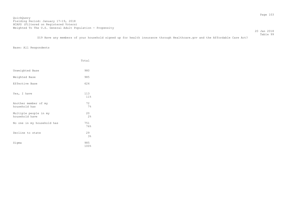QuickQuery Fielding Period: January 17-19, 2018 Hording Forrow: candary 17 19, 2010<br>HCAPS (Filtered on Registered Voters) Weighted To The U.S. General Adult Population - Propensity

 20 Jan 2018 Table 99

D19 Have any members of your household signed up for health insurance through Healthcare.gov and the Affordable Care Act?

|                                         | Total       |
|-----------------------------------------|-------------|
| Unweighted Base                         | 980         |
| Weighted Base                           | 985         |
| Effective Base                          | 624         |
| Yes, I have                             | 113<br>11%  |
| Another member of my<br>household has   | 72<br>7%    |
| Multiple people in my<br>household have | 20<br>2%    |
| No one in my household has              | 751<br>76%  |
| Decline to state                        | 29<br>3%    |
| Sigma                                   | 985<br>100% |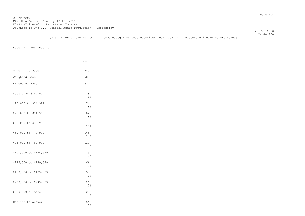Table 100 Q2157 Which of the following income categories best describes your total 2017 household income before taxes?

|                        | Total                |  |
|------------------------|----------------------|--|
| Unweighted Base        | 980                  |  |
| Weighted Base          | 985                  |  |
| Effective Base         | 624                  |  |
| Less than \$15,000     | 78<br>8 <sup>°</sup> |  |
| \$15,000 to \$24,999   | 74<br>8 <sup>°</sup> |  |
| \$25,000 to \$34,999   | 82<br>8 <sup>°</sup> |  |
| \$35,000 to \$49,999   | 112<br>$11\%$        |  |
| \$50,000 to \$74,999   | 165<br>17%           |  |
| \$75,000 to \$99,999   | 129<br>13%           |  |
| \$100,000 to \$124,999 | 119<br>12%           |  |
| \$125,000 to \$149,999 | 66<br>$7\%$          |  |
| \$150,000 to \$199,999 | 55<br>6%             |  |
| \$200,000 to \$249,999 | 26<br>3 <sup>°</sup> |  |
| \$250,000 or more      | 25<br>3%             |  |
| Decline to answer      | 54<br>6%             |  |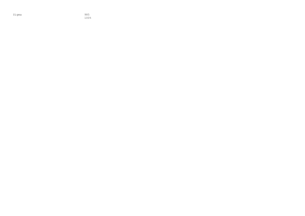Sigma

985<br>100%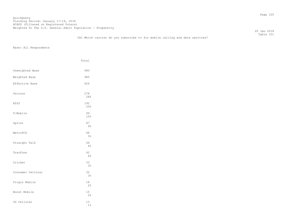## QuickQuery Fielding Period: January 17-19, 2018 HCAPS (Filtered on Registered Voters) Weighted To The U.S. General Adult Population - Propensity

 20 Jan 2018 Table 101

## CA1 Which carrier do you subscribe to for mobile calling and data services?

|                   | Total                |
|-------------------|----------------------|
| Unweighted Base   | 980                  |
| Weighted Base     | 985                  |
| Effective Base    | 624                  |
| Verizon           | 278<br>28%           |
| AT&T              | 192<br>20%           |
| T-Mobile          | 99<br>10%            |
| Sprint            | 87<br>$9\frac{6}{6}$ |
| MetroPCS          | 48<br>5%             |
| Straight Talk     | 44<br>4%             |
| TracFone          | 42<br>4%             |
| Cricket           | 33<br>3%             |
| Consumer Cellular | 32<br>3%             |
| Virgin Mobile     | 18<br>$2\frac{6}{6}$ |
| Boost Mobile      | 15<br>2%             |
| US Cellular       | 13<br>$1\%$          |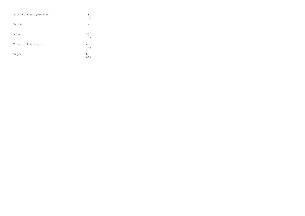| Walmart FamilyMobile | 8<br>1 <sub>8</sub> |
|----------------------|---------------------|
| Net10                |                     |
| Other                | 36<br>4%            |
| None of the above    | 40<br>4%            |
| Sigma                | 985<br>100%         |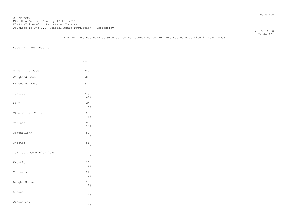QuickQuery Fielding Period: January 17-19, 2018 Hording Forrow: candary 17 19, 2010<br>HCAPS (Filtered on Registered Voters) Weighted To The U.S. General Adult Population - Propensity

 20 Jan 2018 Table 102

|                          | Total                |
|--------------------------|----------------------|
| Unweighted Base          | 980                  |
| Weighted Base            | 985                  |
| Effective Base           | 624                  |
| Comcast                  | 235<br>24%           |
| AT&T                     | 163<br>16%           |
| Time Warner Cable        | 128<br>13%           |
| Verizon                  | 97<br>10%            |
| CenturyLink              | 52<br>$5\%$          |
| Charter                  | 51<br>5%             |
| Cox Cable Communications | 34<br>3 <sup>°</sup> |
| Frontier                 | 27<br>3%             |
| Cablevision              | 21<br>2 <sup>°</sup> |
| Bright House             | 18<br>2 <sup>°</sup> |
| Suddenlink               | 10<br>$1\%$          |
| Windstream               | 10<br>$1\%$          |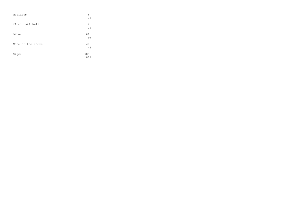| Mediacom          | 6<br>$1\%$          |
|-------------------|---------------------|
| Cincinnati Bell   | 6<br>1 <sup>°</sup> |
| Other             | 88<br>$9\%$         |
| None of the above | 40<br>4%            |
| Sigma             | 985<br>100%         |